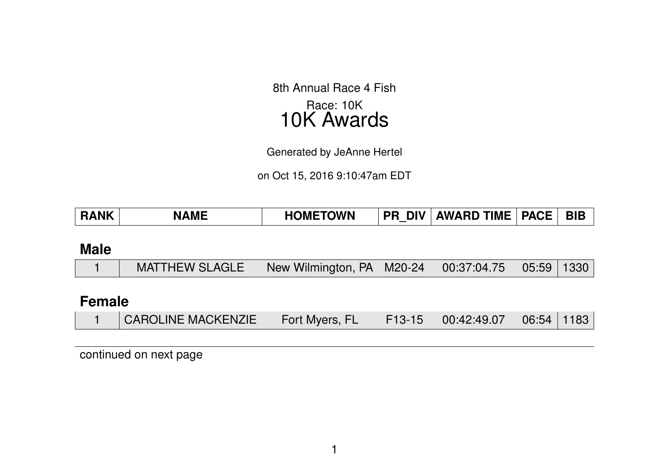8th Annual Race 4 Fish Race: 10K 10K Awards

Generated by JeAnne Hertel

on Oct 15, 2016 9:10:47am EDT

| <b>TOWN</b>  | <b>BIB</b>        |
|--------------|-------------------|
| <b>IOMET</b> | <b>PACE</b>       |
| <b>MF</b>    | <b>AWARD TIME</b> |
| <b>ANK</b>   | <b>DIV</b>        |
| D A          | DD.               |
| л.           | -n                |

### **Male**

|  | MATTHEW SLAGLE   New Wilmington, PA   M20-24   00:37:04.75   05:59   1330 |  |  |  |  |  |
|--|---------------------------------------------------------------------------|--|--|--|--|--|
|--|---------------------------------------------------------------------------|--|--|--|--|--|

### **Female**

|  | <b>CAROLINE MACKENZIE</b> | Fort Myers, FL |  | $\parallel$ F13-15 $\parallel$ 00:42:49.07 $\parallel$ 06:54 $\parallel$ 1183 $\parallel$ |  |  |
|--|---------------------------|----------------|--|-------------------------------------------------------------------------------------------|--|--|
|--|---------------------------|----------------|--|-------------------------------------------------------------------------------------------|--|--|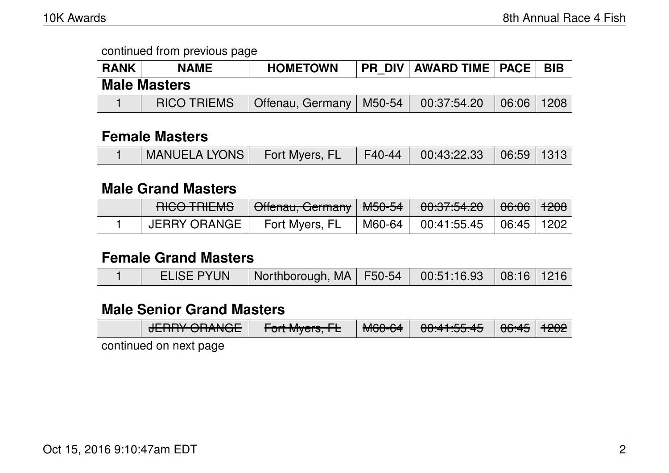| <b>RANK</b> | <b>NAME</b>         | <b>HOMETOWN</b>           | <b>PR DIV   AWARD TIME   PACE   BIB</b> |                                 |  |
|-------------|---------------------|---------------------------|-----------------------------------------|---------------------------------|--|
|             | <b>Male Masters</b> |                           |                                         |                                 |  |
|             | <b>RICO TRIEMS</b>  | Offenau, Germany   M50-54 | 00:37:54.20                             | $\mid$ 06:06 $\mid$ 1208 $\mid$ |  |

### **Female Masters**

|--|

### **Male Grand Masters**

| DICO TDIEMO<br>HUV THEMP | Gffenau, Germany   M50-54 | 0.075100<br>᠊ᠸ <del>ᢈ᠄ᡳ</del> ᡳ᠄ᡉ   | <del>06:06</del>   <del>1208</del> |  |
|--------------------------|---------------------------|-------------------------------------|------------------------------------|--|
| JERRY ORANGE             | Fort Myers, FL            | M60-64   00:41:55.45   06:45   1202 |                                    |  |

#### **Female Grand Masters**

| <b>ELISE PYUN</b><br>   Northborough, MA   F50-54   00:51:16.93   08:16   1216 |
|--------------------------------------------------------------------------------|
|--------------------------------------------------------------------------------|

### **Male Senior Grand Masters**

| $I$ $\Gamma$ $\Gamma$ $\Gamma$ $\Lambda$ $\Lambda$ $\Lambda$ $\Lambda$ $\Lambda$ $\Gamma$<br>MCACA<br>$\bigcap A$ $A$ $E$ $E$ $A$ $E$<br>$\Gamma_{\alpha}$ <sup>+</sup> M <sub>uare</sub> $\Gamma$<br><del>NUV-04</del><br>ᠸ <del>ᠷᠷᠸᠧ᠃ᠷᠢ</del> ᡨ<br>J | $ACATE 1.000$<br>$\sim$ 00.40 $\mid$ 1404 $\mid$ |  |
|--------------------------------------------------------------------------------------------------------------------------------------------------------------------------------------------------------------------------------------------------------|--------------------------------------------------|--|
|--------------------------------------------------------------------------------------------------------------------------------------------------------------------------------------------------------------------------------------------------------|--------------------------------------------------|--|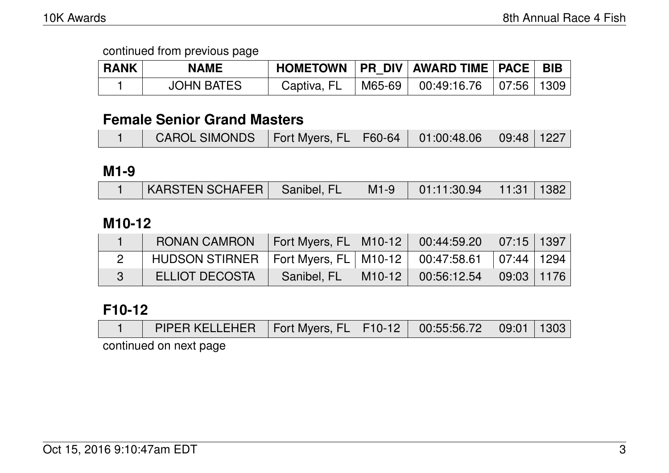| <b>RANK</b> | <b>NAME</b>       |             | HOMETOWN   PR DIV   AWARD TIME   PACE   BIB |  |
|-------------|-------------------|-------------|---------------------------------------------|--|
|             | <b>JOHN BATES</b> | Captiva, FL | M65-69   00:49:16.76   07:56   1309         |  |

### **Female Senior Grand Masters**

| CAROL SIMONDS   Fort Myers, FL   F60-64   01:00:48.06   09:48   1227 |  |  |  |
|----------------------------------------------------------------------|--|--|--|
|                                                                      |  |  |  |

### **M1-9**

| KARSTEN SCHAFER   Sanibel, FL   M1-9   01:11:30.94   11:31   1382 |  |  |  |
|-------------------------------------------------------------------|--|--|--|

### **M10-12**

| <b>RONAN CAMRON</b>                                                   | Fort Myers, FL   M10-12   00:44:59.20   07:15   1397 |                    |                     |  |
|-----------------------------------------------------------------------|------------------------------------------------------|--------------------|---------------------|--|
| HUDSON STIRNER   Fort Myers, FL   M10-12   00:47:58.61   07:44   1294 |                                                      |                    |                     |  |
| <b>ELLIOT DECOSTA</b>                                                 | Sanibel, FL                                          | M10-12 00:56:12.54 | $\mid$ 09:03   1176 |  |

## **F10-12**

|  |  | PIPER KELLEHER   Fort Myers, FL   F10-12   00:55:56.72   09:01   1303 |  |  |  |  |  |
|--|--|-----------------------------------------------------------------------|--|--|--|--|--|
|--|--|-----------------------------------------------------------------------|--|--|--|--|--|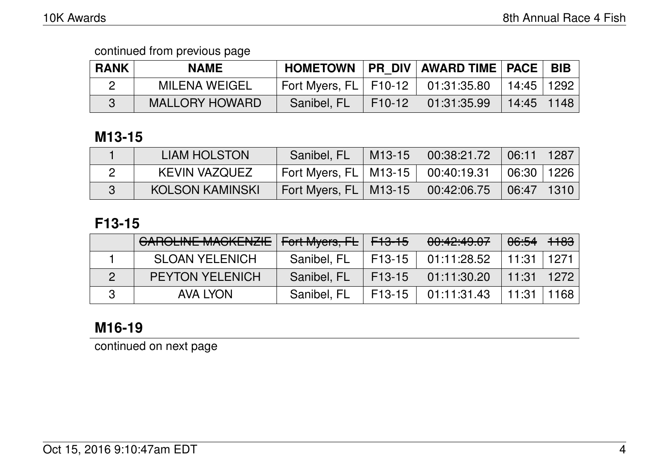| <b>RANK</b> | <b>NAME</b>           |                                               |        | HOMETOWN   PR DIV   AWARD TIME   PACE   BIB |              |  |
|-------------|-----------------------|-----------------------------------------------|--------|---------------------------------------------|--------------|--|
|             | <b>MILENA WEIGEL</b>  | $\vert$ Fort Myers, FL $\vert$ F10-12 $\vert$ |        | $\parallel$ 01:31:35.80   14:45   1292      |              |  |
|             | <b>MALLORY HOWARD</b> | Sanibel, FL                                   | F10-12 | 01:31:35.99                                 | 14:45   1148 |  |

### **M13-15**

| <b>LIAM HOLSTON</b>    | Sanibel, FL                                    | M13-15 | 00:38:21.72 | $\mid$ 06:11   1287 |  |
|------------------------|------------------------------------------------|--------|-------------|---------------------|--|
| KEVIN VAZQUEZ          | $^{\circ}$ Fort Myers, FL $\mid$ M13-15 $\mid$ |        | 00:40:19.31 | │ 06:30 │ 1226      |  |
| <b>KOLSON KAMINSKI</b> | Fort Myers, FL   M13-15 \                      |        | 00:42:06.75 | 06:47 1310          |  |

## **F13-15**

| <b>GAROLINE MACKENZIE</b> | Fort Myers, FL F13-15 |          | 00:42:49.07   | 06:54          | <del>1183</del> |
|---------------------------|-----------------------|----------|---------------|----------------|-----------------|
| <b>SLOAN YELENICH</b>     | Sanibel, FL           | F13-15   | 01:11:28.52   | $+11:31$ $+$   | $\pm$ 1271      |
| <b>PEYTON YELENICH</b>    | Sanibel, FL           | $F13-15$ | $01:11:30.20$ | $11:31$   1272 |                 |
| <b>AVA LYON</b>           | Sanibel, FL           | $F13-15$ | $01:11:31.43$ | 11:31          | 1168            |

# **M16-19**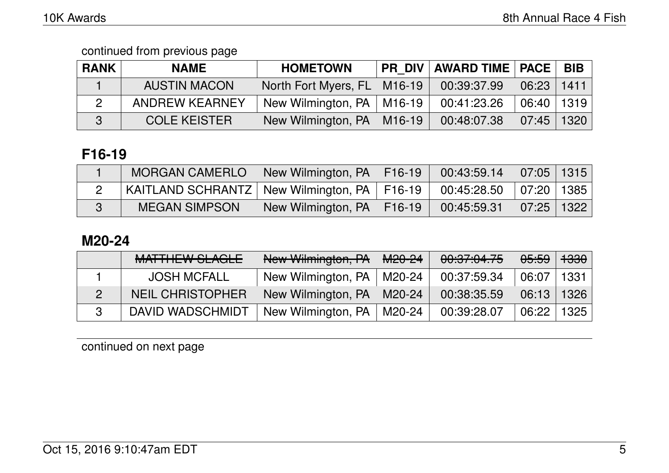| <b>RANK</b> | <b>NAME</b>           | <b>HOMETOWN</b>               | PR_DIV   AWARD TIME   PACE |       | <b>BIB</b> |
|-------------|-----------------------|-------------------------------|----------------------------|-------|------------|
|             | <b>AUSTIN MACON</b>   | North Fort Myers, FL   M16-19 | 00:39:37.99                | 06:23 | 1411       |
|             | <b>ANDREW KEARNEY</b> | New Wilmington, PA   M16-19   | 00:41:23.26                | 06:40 | 1319       |
|             | <b>COLE KEISTER</b>   | New Wilmington, PA   M16-19   | 00:48:07.38                | 07:45 | 1320       |

## **F16-19**

| <b>MORGAN CAMERLO</b>                           | I New Wilmington, PA   F16-19 | $\begin{array}{ c c c c c c c c } \hline \rule{0pt}{1.5ex} & \rule{0pt}{2.5ex} 00.43.59.14 & \rule{0pt}{2.5ex} & \rule{0pt}{2.5ex} 07.05 & \rule{0pt}{2.5ex} & \rule{0pt}{2.5ex} & \rule{0pt}{2.5ex} & \rule{0pt}{2.5ex} & \rule{0pt}{2.5ex} & \rule{0pt}{2.5ex} & \rule{0pt}{2.5ex} & \rule{0pt}{2.5ex} & \rule{0pt}{2.5ex} & \rule{0pt}{2.5ex} & \rule{0pt}{2.$ |  |
|-------------------------------------------------|-------------------------------|-------------------------------------------------------------------------------------------------------------------------------------------------------------------------------------------------------------------------------------------------------------------------------------------------------------------------------------------------------------------|--|
| KAITLAND SCHRANTZ   New Wilmington, PA   F16-19 |                               | $\vert$ 00:45:28.50 $\vert$ 07:20 $\vert$ 1385 $\vert$                                                                                                                                                                                                                                                                                                            |  |
| <b>MEGAN SIMPSON</b>                            | New Wilmington, PA   F16-19   | $\begin{array}{ c c c c c c c c } \hline 00:45:59.31 & 07:25 & 1322 \hline \end{array}$                                                                                                                                                                                                                                                                           |  |

### **M20-24**

|                | <b>MATTHEW SLAGLE</b>   | New Wilmington, PA          | <del>M20-24</del> | 00:37:04.75 | <del>05:59</del> | <del>1330</del> |
|----------------|-------------------------|-----------------------------|-------------------|-------------|------------------|-----------------|
|                | <b>JOSH MCFALL</b>      | New Wilmington, PA   M20-24 |                   | 00:37:59.34 | 06:07            | 1331            |
| $\overline{2}$ | <b>NEIL CHRISTOPHER</b> | New Wilmington, PA   M20-24 |                   | 00:38:35.59 | 06:13            | 1326            |
|                | DAVID WADSCHMIDT        | New Wilmington, PA   M20-24 |                   | 00:39:28.07 | 06:22            | 1325            |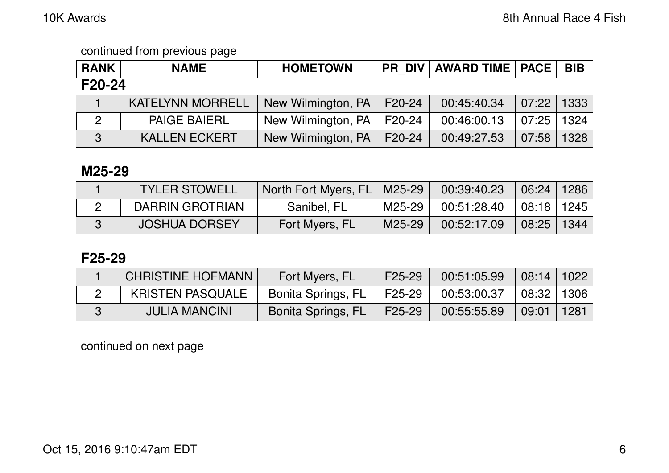| <b>RANK</b>    | <b>NAME</b>             | <b>HOMETOWN</b>             |  | <b>PR DIV AWARD TIME PACE</b> |       | <b>BIB</b> |  |  |
|----------------|-------------------------|-----------------------------|--|-------------------------------|-------|------------|--|--|
| F20-24         |                         |                             |  |                               |       |            |  |  |
|                | <b>KATELYNN MORRELL</b> | New Wilmington, PA   F20-24 |  | 00:45:40.34                   | 07:22 | 1333       |  |  |
| $\overline{2}$ | <b>PAIGE BAIERL</b>     | New Wilmington, PA   F20-24 |  | 00:46:00.13                   | 07:25 | 1324       |  |  |
| 3              | <b>KALLEN ECKERT</b>    | New Wilmington, PA   F20-24 |  | 00:49:27.53                   | 07:58 | 1328       |  |  |

### **M25-29**

| <b>TYLER STOWELL</b> | North Fort Myers, FL   M25-29 |        | $\begin{array}{ c c c c c c c c } \hline 00:39:40.23 & 06:24 & 1286 \hline \end{array}$ |                      |  |
|----------------------|-------------------------------|--------|-----------------------------------------------------------------------------------------|----------------------|--|
| DARRIN GROTRIAN      | Sanibel, FL                   |        | M25-29 00:51:28.40 08:18 1245                                                           |                      |  |
| <b>JOSHUA DORSEY</b> | Fort Myers, FL                | M25-29 | 00:52:17.09                                                                             | $\vert$ 08:25   1344 |  |

### **F25-29**

| <b>CHRISTINE HOFMANN</b> | Fort Myers, FL     | F <sub>25</sub> -29 | 00:51:05.99 | $\mid$ 08:14 $\mid$ 1022 $\mid$ |      |
|--------------------------|--------------------|---------------------|-------------|---------------------------------|------|
| <b>KRISTEN PASQUALE</b>  | Bonita Springs, FL | F25-29              | 00:53:00.37 | 08:32 1306                      |      |
| <b>JULIA MANCINI</b>     | Bonita Springs, FL | F25-29              | 00:55:55.89 | 09:01                           | 1281 |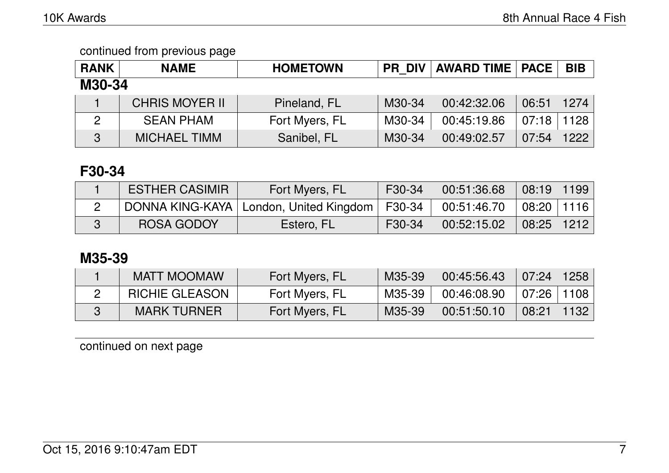| <b>RANK</b>  | <b>NAME</b>           | <b>HOMETOWN</b> | <b>PR DIV</b> | <b>AWARD TIME   PACE</b> |       | <b>BIB</b> |  |  |
|--------------|-----------------------|-----------------|---------------|--------------------------|-------|------------|--|--|
| M30-34       |                       |                 |               |                          |       |            |  |  |
|              | <b>CHRIS MOYER II</b> | Pineland, FL    | M30-34        | 00:42:32.06              | 06:51 | 1274       |  |  |
| 2            | <b>SEAN PHAM</b>      | Fort Myers, FL  | M30-34        | 00:45:19.86              | 07:18 | 1128       |  |  |
| $\mathbf{3}$ | <b>MICHAEL TIMM</b>   | Sanibel, FL     | M30-34        | 00:49:02.57              | 07:54 | 1222       |  |  |

## **F30-34**

| <b>ESTHER CASIMIR</b> | Fort Myers, FL                                    | F30-34 | 00:51:36.68                                                                           | 08:19   1199 |  |
|-----------------------|---------------------------------------------------|--------|---------------------------------------------------------------------------------------|--------------|--|
|                       | DONNA KING-KAYA   London, United Kingdom   F30-34 |        | $\begin{array}{ c c c c c c } \hline 00:51:46.70 & 08:20 & 1116 \ \hline \end{array}$ |              |  |
| <b>ROSA GODOY</b>     | Estero, FL                                        | F30-34 | 00:52:15.02                                                                           | 08:25   1212 |  |

## **M35-39**

| <b>MATT MOOMAW</b>    | Fort Myers, FL | M35-39 | 00:45:56.43 | 07:24        | 1258 |
|-----------------------|----------------|--------|-------------|--------------|------|
| <b>RICHIE GLEASON</b> | Fort Myers, FL | M35-39 | 00:46:08.90 | 07:26   1108 |      |
| <b>MARK TURNER</b>    | Fort Myers, FL | M35-39 | 00:51:50.10 | 08:21        | 1132 |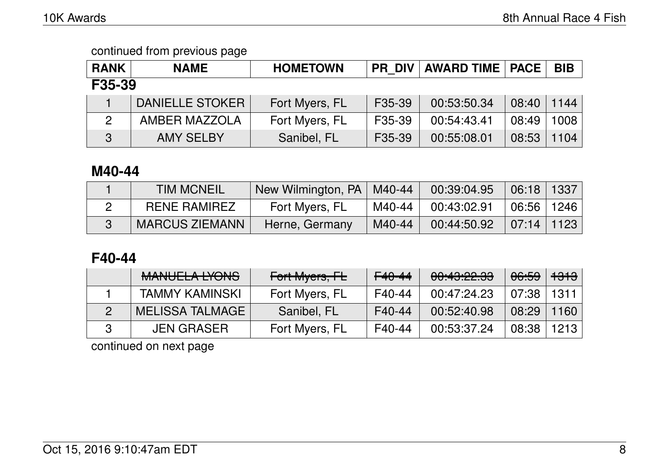| <b>RANK</b>    | <b>NAME</b>            | <b>HOMETOWN</b> | <b>PR DIV</b> | <b>AWARD TIME   PACE  </b> |       | <b>BIB</b> |  |
|----------------|------------------------|-----------------|---------------|----------------------------|-------|------------|--|
| F35-39         |                        |                 |               |                            |       |            |  |
|                | <b>DANIELLE STOKER</b> | Fort Myers, FL  | F35-39        | 00:53:50.34                | 08:40 | 1144       |  |
| $\overline{2}$ | AMBER MAZZOLA          | Fort Myers, FL  | F35-39        | 00:54:43.41                | 08:49 | 1008       |  |
| 3              | <b>AMY SELBY</b>       | Sanibel, FL     | F35-39        | 00:55:08.01                | 08:53 | 1104       |  |

### **M40-44**

| <b>TIM MCNEIL</b>     | New Wilmington, PA   M40-44 |        | 00:39:04.95 | $\mid$ 06:18   1337         |  |
|-----------------------|-----------------------------|--------|-------------|-----------------------------|--|
| <b>RENE RAMIREZ</b>   | Fort Myers, FL              | M40-44 | 00:43:02.91 | $\mid$ 06:56 $\mid$ 1246    |  |
| <b>MARCUS ZIEMANN</b> | Herne, Germany              | M40-44 | 00:44:50.92 | $\mid 07:14 \mid 1123 \mid$ |  |

## **F40-44**

| MANILIEL A IVONIC<br><b>MARULLA LIVIVU</b> | Fort Myers, FL | <del>F40-44</del> | <u>مم ممبرده رمم</u><br><del>uu.40.22.00</del> | <del>06:59</del> | <del>1313</del> |
|--------------------------------------------|----------------|-------------------|------------------------------------------------|------------------|-----------------|
| <b>TAMMY KAMINSKI</b>                      | Fort Myers, FL | F40-44            | 00:47:24.23                                    | 07:38∣           | 1311            |
| <b>MELISSA TALMAGE</b>                     | Sanibel, FL    | F40-44            | 00:52:40.98                                    | 08:29            | 1160            |
| <b>JEN GRASER</b>                          | Fort Myers, FL | F40-44            | 00:53:37.24                                    | 08:38            | 1213            |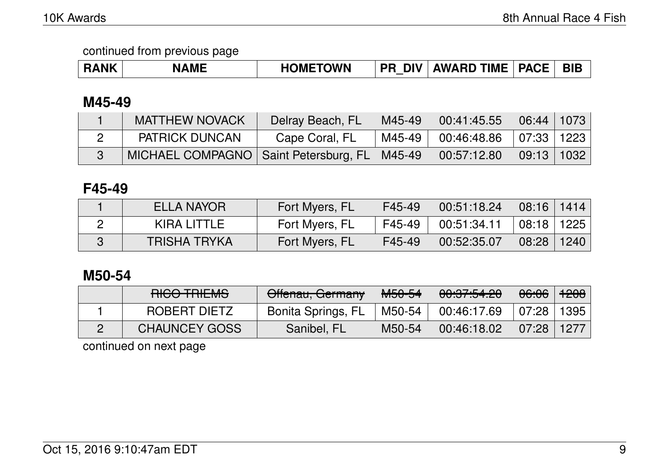| <b>RANK</b> | <b>AME</b><br>NA | <b>HOMETOWN</b> | DIV <b>N</b><br><b>PR</b> | <b>AWARD TIME</b> | <b>PACE</b> | <b>BIL</b> |
|-------------|------------------|-----------------|---------------------------|-------------------|-------------|------------|
|-------------|------------------|-----------------|---------------------------|-------------------|-------------|------------|

### **M45-49**

| <b>MATTHEW NOVACK</b>                            | Delray Beach, FL | M45-49 | 00:41:45.55                  | $\mid$ 06:44 $\mid$ 1073 $\mid$ |  |
|--------------------------------------------------|------------------|--------|------------------------------|---------------------------------|--|
| <b>PATRICK DUNCAN</b>                            | Cape Coral, FL   | M45-49 | $00:46:48.86$   07:33   1223 |                                 |  |
| MICHAEL COMPAGNO   Saint Petersburg, FL   M45-49 |                  |        | 00:57:12.80                  | $09:13$   1032                  |  |

### **F45-49**

| ELLA NAYOR          | Fort Myers, FL | F45-49 | 00:51:18.24 | $\mid$ 08:16 $\mid$ 1414 $\mid$ |      |
|---------------------|----------------|--------|-------------|---------------------------------|------|
| KIRA LITTLE         | Fort Myers, FL | F45-49 | 00:51:34.11 | 08:18                           | 1225 |
| <b>TRISHA TRYKA</b> | Fort Myers, FL | F45-49 | 00:52:35.07 | 08:28                           | 1240 |

### **M50-54**

| <b>DIOO TRIEMO</b><br><b>HIUV THILIVIO</b> | Offenau, Germany   | <del>M50-54</del> | 00.07.54.00<br><del>00.07.04.20</del> | <del>06:06</del> ∣ <del>1208</del> ∣ |  |
|--------------------------------------------|--------------------|-------------------|---------------------------------------|--------------------------------------|--|
| ROBERT DIETZ                               | Bonita Springs, FL | $\mid$ M50-54     | 00:46:17.69                           | $\mid$ 07:28 $\mid$ 1395 $\mid$      |  |
| <b>CHAUNCEY GOSS</b>                       | Sanibel, FL        | M50-54            | 00:46:18.02                           | $\mid$ 07:28 $\mid$ 1277 $\mid$      |  |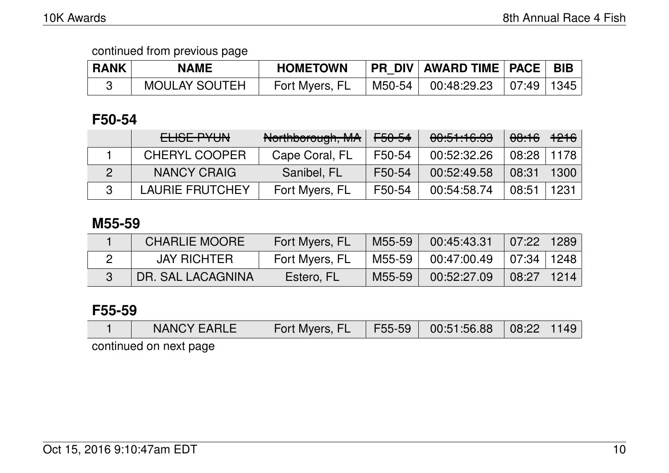| <b>RANK</b> | <b>NAME</b>          | <b>HOMETOWN</b> |        | PR DIV   AWARD TIME   PACE   BIB                                                                                                                                                                                                                                                                                                                                                   |  |
|-------------|----------------------|-----------------|--------|------------------------------------------------------------------------------------------------------------------------------------------------------------------------------------------------------------------------------------------------------------------------------------------------------------------------------------------------------------------------------------|--|
|             | <b>MOULAY SOUTEH</b> | Fort Myers, FL  | M50-54 | $\begin{array}{ c c c c c }\ \hline \rule{0pt}{0.2pt} & \rule{0pt}{0.2pt} & \rule{0pt}{0.2pt} & \rule{0pt}{0.2pt} & \rule{0pt}{0.2pt} & \rule{0pt}{0.2pt} & \rule{0pt}{0.2pt} & \rule{0pt}{0.2pt} & \rule{0pt}{0.2pt} & \rule{0pt}{0.2pt} & \rule{0pt}{0.2pt} & \rule{0pt}{0.2pt} & \rule{0pt}{0.2pt} & \rule{0pt}{0.2pt} & \rule{0pt}{0.2pt} & \rule{0pt}{0.2pt} & \rule{0pt}{0.$ |  |

### **F50-54**

| ELISE PYUN             | Northborough, MA | <del>F50-54</del> | 00:51:16.93 | <del>08:16</del> ∃ <del>1216</del> |      |
|------------------------|------------------|-------------------|-------------|------------------------------------|------|
| <b>CHERYL COOPER</b>   | Cape Coral, FL   | F50-54            | 00:52:32.26 | 08:28                              | 1178 |
| NANCY CRAIG            | Sanibel, FL      | F50-54            | 00:52:49.58 | 08:31                              | 1300 |
| <b>LAURIE FRUTCHEY</b> | Fort Myers, FL   | F50-54            | 00:54:58.74 | 08:51                              | 1231 |

#### **M55-59**

| <b>CHARLIE MOORE</b> | Fort Myers, FL | M55-59 | 00:45:43.31              | 07:22          | 1289 |
|----------------------|----------------|--------|--------------------------|----------------|------|
| <b>JAY RICHTER</b>   | Fort Myers, FL | M55-59 | $00:47:00.49$ 07:34 1248 |                |      |
| DR. SAL LACAGNINA    | Estero, FL     | M55-59 | 00:52:27.09              | ∣ 08:27 ∣ 1214 |      |

### **F55-59**

| <b>NANCY EARLE</b> | <b>Example 18 Travel For Form 18 Travel F55-59</b> 00:51:56.88 08:22 1149 |  |  |
|--------------------|---------------------------------------------------------------------------|--|--|
|                    |                                                                           |  |  |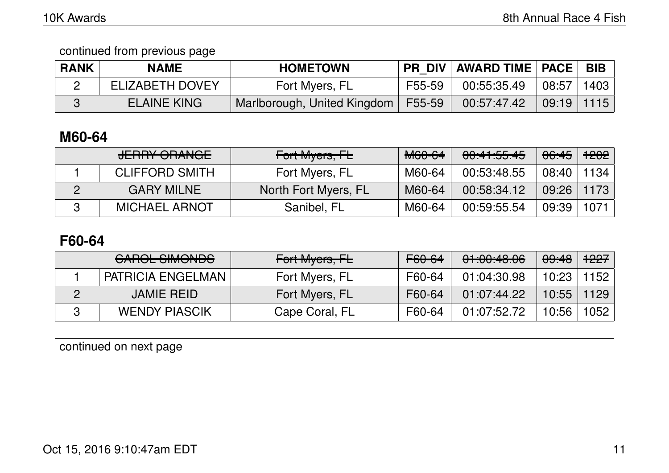continued from previous page

| <b>RANK</b> | <b>NAME</b>            | <b>HOMETOWN</b>             |        | <b>PR DIV AWARD TIME   PACE  </b> |                | <b>BIB</b> |
|-------------|------------------------|-----------------------------|--------|-----------------------------------|----------------|------------|
|             | <b>ELIZABETH DOVEY</b> | Fort Myers, FL              | F55-59 | 00:55:35.49                       | 08:57          | 1403       |
|             | <b>ELAINE KING</b>     | Marlborough, United Kingdom | F55-59 | 00:57:47.42                       | $09:19$   1115 |            |

## **M60-64**

| <b>JERRY ORANGE</b>   | Fort Myers, FL       | M60-64 | 00:41:55.45 | <del>06:45</del> | <del>1202</del> |
|-----------------------|----------------------|--------|-------------|------------------|-----------------|
| <b>CLIFFORD SMITH</b> | Fort Myers, FL       | M60-64 | 00:53:48.55 | 08:40            | 1134            |
| <b>GARY MILNE</b>     | North Fort Myers, FL | M60-64 | 00:58:34.12 | 09:26            | 1173            |
| <b>MICHAEL ARNOT</b>  | Sanibel, FL          | M60-64 | 00:59:55.54 | 09:39            | 1071            |

## **F60-64**

| <u>AIDAL AIMANIDA</u><br><u>UNIUL JIMUNDJ</u> | Fort Myers, FL | F60-64 | 01:00:48.06 | 09:48 | $+227$ |
|-----------------------------------------------|----------------|--------|-------------|-------|--------|
| PATRICIA ENGELMAN                             | Fort Myers, FL | F60-64 | 01:04:30.98 | 10:23 | 1152   |
| <b>JAMIE REID</b>                             | Fort Myers, FL | F60-64 | 01:07:44.22 | 10:55 | 1129   |
| <b>WENDY PIASCIK</b>                          | Cape Coral, FL | F60-64 | 01:07:52.72 | 10:56 | 1052   |